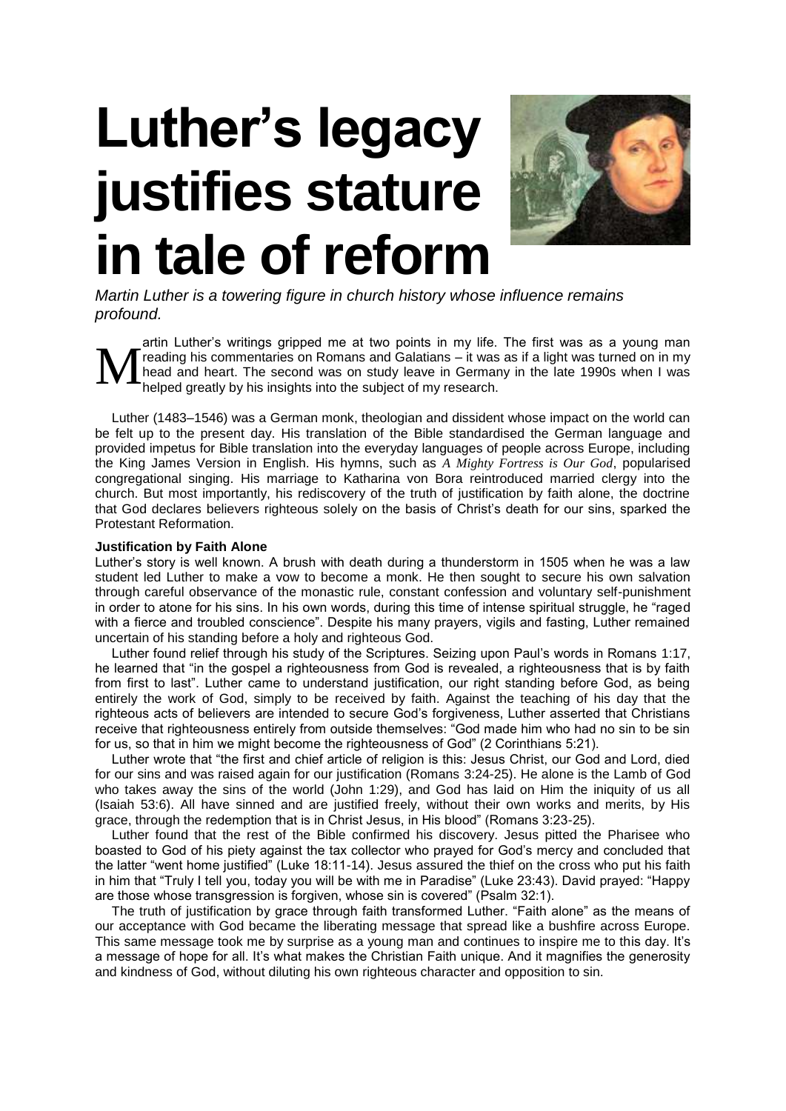## **Luther's legacy justifies stature in tale of reform**



*Martin Luther is a towering figure in church history whose influence remains profound. Brian Rosner examines the legacy of the Father of the Protestant Reformation.* 

artin Luther's writings gripped me at two points in my life. The first was as a young man reading his commentaries on Romans and Galatians – it was as if a light was turned on in my head and heart. The second was on study leave in Germany in the late 1990s when I was helped greatly by his insights into the subject of my research. M

Luther (1483–1546) was a German monk, theologian and dissident whose impact on the world can be felt up to the present day. His translation of the Bible standardised the German language and provided impetus for Bible translation into the everyday languages of people across Europe, including the King James Version in English. His hymns, such as *A Mighty Fortress is Our God*, popularised congregational singing. His marriage to Katharina von Bora reintroduced married clergy into the church. But most importantly, his rediscovery of the truth of justification by faith alone, the doctrine that God declares believers righteous solely on the basis of Christ's death for our sins, sparked the Protestant Reformation.

## **Justification by Faith Alone**

Luther's story is well known. A brush with death during a thunderstorm in 1505 when he was a law student led Luther to make a vow to become a monk. He then sought to secure his own salvation through careful observance of the monastic rule, constant confession and voluntary self-punishment in order to atone for his sins. In his own words, during this time of intense spiritual struggle, he "raged with a fierce and troubled conscience". Despite his many prayers, vigils and fasting, Luther remained uncertain of his standing before a holy and righteous God.

Luther found relief through his study of the Scriptures. Seizing upon Paul's words in Romans 1:17, he learned that "in the gospel a righteousness from God is revealed, a righteousness that is by faith from first to last". Luther came to understand justification, our right standing before God, as being entirely the work of God, simply to be received by faith. Against the teaching of his day that the righteous acts of believers are intended to secure God's forgiveness, Luther asserted that Christians receive that righteousness entirely from outside themselves: "God made him who had no sin to be sin for us, so that in him we might become the righteousness of God" (2 Corinthians 5:21).

Luther wrote that "the first and chief article of religion is this: Jesus Christ, our God and Lord, died for our sins and was raised again for our justification (Romans 3:24-25). He alone is the Lamb of God who takes away the sins of the world (John 1:29), and God has laid on Him the iniquity of us all (Isaiah 53:6). All have sinned and are justified freely, without their own works and merits, by His grace, through the redemption that is in Christ Jesus, in His blood" (Romans 3:23-25).

Luther found that the rest of the Bible confirmed his discovery. Jesus pitted the Pharisee who boasted to God of his piety against the tax collector who prayed for God's mercy and concluded that the latter "went home justified" (Luke 18:11-14). Jesus assured the thief on the cross who put his faith in him that "Truly I tell you, today you will be with me in Paradise" (Luke 23:43). David prayed: "Happy are those whose transgression is forgiven, whose sin is covered" (Psalm 32:1).

The truth of justification by grace through faith transformed Luther. "Faith alone" as the means of our acceptance with God became the liberating message that spread like a bushfire across Europe. This same message took me by surprise as a young man and continues to inspire me to this day. It's a message of hope for all. It's what makes the Christian Faith unique. And it magnifies the generosity and kindness of God, without diluting his own righteous character and opposition to sin.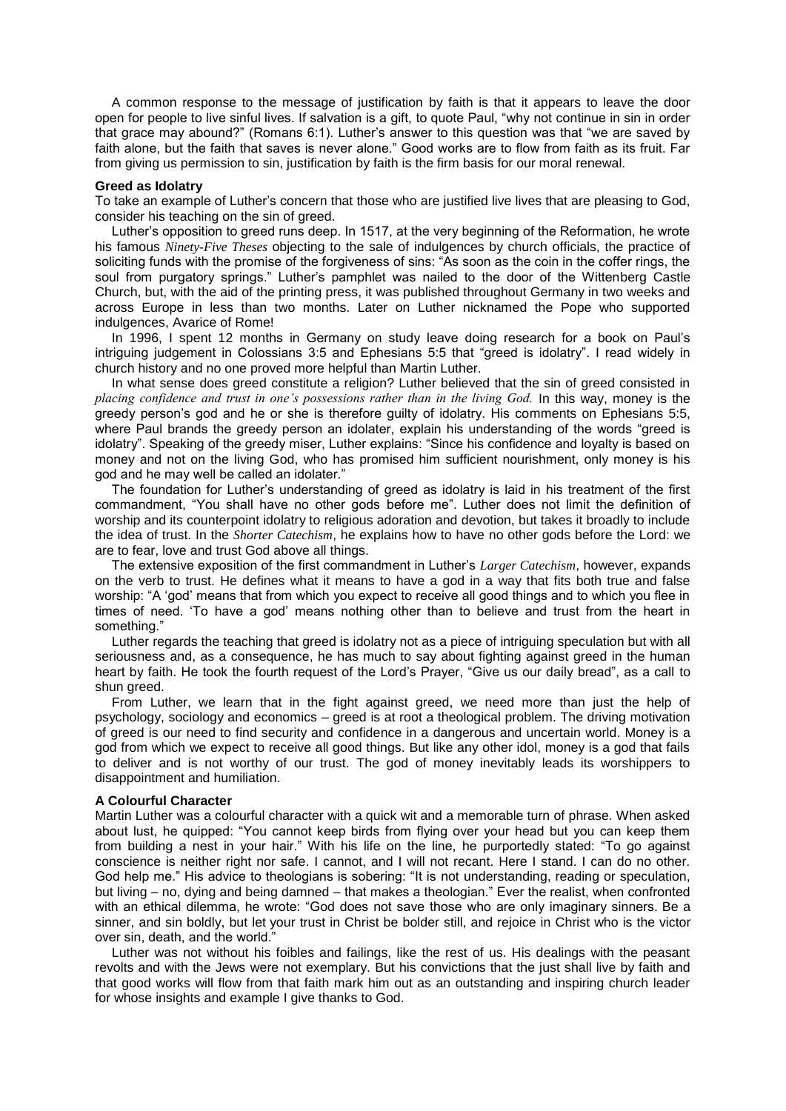A common response to the message of justification by faith is that it appears to leave the door open for people to live sinful lives. If salvation is a gift, to quote Paul, "why not continue in sin in order that grace may abound?" (Romans 6:1). Luther's answer to this question was that "we are saved by faith alone, but the faith that saves is never alone." Good works are to flow from faith as its fruit. Far from giving us permission to sin, justification by faith is the firm basis for our moral renewal.

## **Greed as Idolatry**

To take an example of Luther's concern that those who are justified live lives that are pleasing to God, consider his teaching on the sin of greed.

Luther's opposition to greed runs deep. In 1517, at the very beginning of the Reformation, he wrote his famous *Ninety-Five Theses* objecting to the sale of indulgences by church officials, the practice of soliciting funds with the promise of the forgiveness of sins: "As soon as the coin in the coffer rings, the soul from purgatory springs." Luther's pamphlet was nailed to the door of the Wittenberg Castle Church, but, with the aid of the printing press, it was published throughout Germany in two weeks and across Europe in less than two months. Later on Luther nicknamed the Pope who supported indulgences, Avarice of Rome!

In 1996, I spent 12 months in Germany on study leave doing research for a book on Paul's intriguing judgement in Colossians 3:5 and Ephesians 5:5 that "greed is idolatry". I read widely in church history and no one proved more helpful than Martin Luther.

In what sense does greed constitute a religion? Luther believed that the sin of greed consisted in *placing confidence and trust in one's possessions rather than in the living God.* In this way, money is the greedy person's god and he or she is therefore guilty of idolatry. His comments on Ephesians 5:5, where Paul brands the greedy person an idolater, explain his understanding of the words "greed is idolatry". Speaking of the greedy miser, Luther explains: "Since his confidence and loyalty is based on money and not on the living God, who has promised him sufficient nourishment, only money is his god and he may well be called an idolater."

The foundation for Luther's understanding of greed as idolatry is laid in his treatment of the first commandment, "You shall have no other gods before me". Luther does not limit the definition of worship and its counterpoint idolatry to religious adoration and devotion, but takes it broadly to include the idea of trust. In the *Shorter Catechism*, he explains how to have no other gods before the Lord: we are to fear, love and trust God above all things.

The extensive exposition of the first commandment in Luther's *Larger Catechism*, however, expands on the verb to trust. He defines what it means to have a god in a way that fits both true and false worship: "A 'god' means that from which you expect to receive all good things and to which you flee in times of need. 'To have a god' means nothing other than to believe and trust from the heart in something."

Luther regards the teaching that greed is idolatry not as a piece of intriguing speculation but with all seriousness and, as a consequence, he has much to say about fighting against greed in the human heart by faith. He took the fourth request of the Lord's Prayer, "Give us our daily bread", as a call to shun greed.

From Luther, we learn that in the fight against greed, we need more than just the help of psychology, sociology and economics – greed is at root a theological problem. The driving motivation of greed is our need to find security and confidence in a dangerous and uncertain world. Money is a god from which we expect to receive all good things. But like any other idol, money is a god that fails to deliver and is not worthy of our trust. The god of money inevitably leads its worshippers to disappointment and humiliation.

## **A Colourful Character**

Martin Luther was a colourful character with a quick wit and a memorable turn of phrase. When asked about lust, he quipped: "You cannot keep birds from flying over your head but you can keep them from building a nest in your hair." With his life on the line, he purportedly stated: "To go against conscience is neither right nor safe. I cannot, and I will not recant. Here I stand. I can do no other. God help me." His advice to theologians is sobering: "It is not understanding, reading or speculation, but living – no, dying and being damned – that makes a theologian." Ever the realist, when confronted with an ethical dilemma, he wrote: "God does not save those who are only imaginary sinners. Be a sinner, and sin boldly, but let your trust in Christ be bolder still, and rejoice in Christ who is the victor over sin, death, and the world."

Luther was not without his foibles and failings, like the rest of us. His dealings with the peasant revolts and with the Jews were not exemplary. But his convictions that the just shall live by faith and that good works will flow from that faith mark him out as an outstanding and inspiring church leader for whose insights and example I give thanks to God.